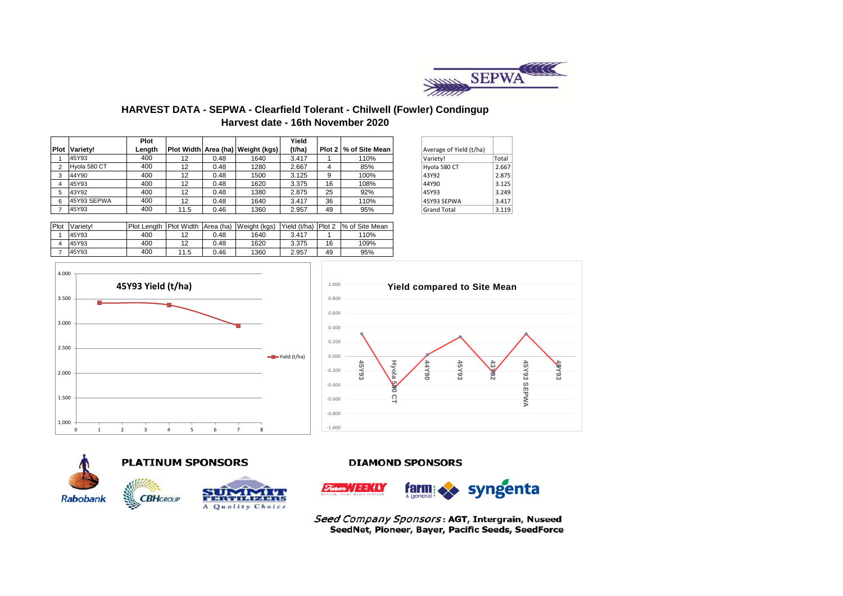

## **HARVEST DATA - SEPWA - Clearfield Tolerant - Chilwell (Fowler) Condingup Harvest date - 16th November 2020**

|             |              | Plot   |                   |      |                                   | Yield  |    |                       |                         |       |
|-------------|--------------|--------|-------------------|------|-----------------------------------|--------|----|-----------------------|-------------------------|-------|
| <b>Plot</b> | Variety!     | Lenath |                   |      | Plot Width Area (ha) Weight (kgs) | (t/ha) |    | Plot 2 % of Site Mean | Average of Yield (t/ha) |       |
|             | 45Y93        | 400    | 12                | 0.48 | 1640                              | 3.417  |    | 110%                  | Variety!                | Total |
|             | Hvola 580 CT | 400    | 12                | 0.48 | 1280                              | 2.667  |    | 85%                   | Hyola 580 CT            | 2.667 |
|             | 44Y90        | 400    | 12                | 0.48 | 1500                              | 3.125  |    | 100%                  | 43Y92                   | 2.875 |
|             | 45Y93        | 400    | 12                | 0.48 | 1620                              | 3.375  | 16 | 108%                  | 44Y90                   | 3.125 |
|             | 43Y92        | 400    | 12                | 0.48 | 1380                              | 2.875  | 25 | 92%                   | 45Y93                   | 3.249 |
|             | 45Y93 SEPWA  | 400    | $12 \overline{ }$ | 0.48 | 1640                              | 3.417  | 36 | 110%                  | 45Y93 SEPWA             | 3.417 |
|             | 45Y93        | 400    | 11.5              | 0.46 | 1360                              | 2.957  | 49 | 95%                   | <b>Grand Total</b>      | 3.119 |

| Average of Yield (t/ha) |       |
|-------------------------|-------|
| Variety!                | Total |
| Hyola 580 CT            | 2.667 |
| 43Y92                   | 2.875 |
| 44Y90                   | 3.125 |
| 45Y93                   | 3.249 |
| 45Y93 SEPWA             | 3.417 |
| <b>Grand Total</b>      | 3.119 |

| Plot | Variety! | <b>Plot Lenath</b> | <b>Plot Width</b> | Area (ha) | Weight (kgs) | Yield (t/ha) | Plot 2 | % of Site Mean |
|------|----------|--------------------|-------------------|-----------|--------------|--------------|--------|----------------|
|      | 45Y93    | 400                | 12                | 0.48      | 1640         | 3.417        |        | 110%           |
|      | 45Y93    | 400                | 12                | 0.48      | 1620         | 3.375        | 16     | 109%           |
|      | 45Y93    | 400                | 11.5              | 0.46      | 1360         | 2.957        | 49     | 95%            |







# **PLATINUM SPONSORS**



#### **DIAMOND SPONSORS**



Seed Company Sponsors: AGT, Intergrain, Nuseed SeedNet, Pioneer, Bayer, Pacific Seeds, SeedForce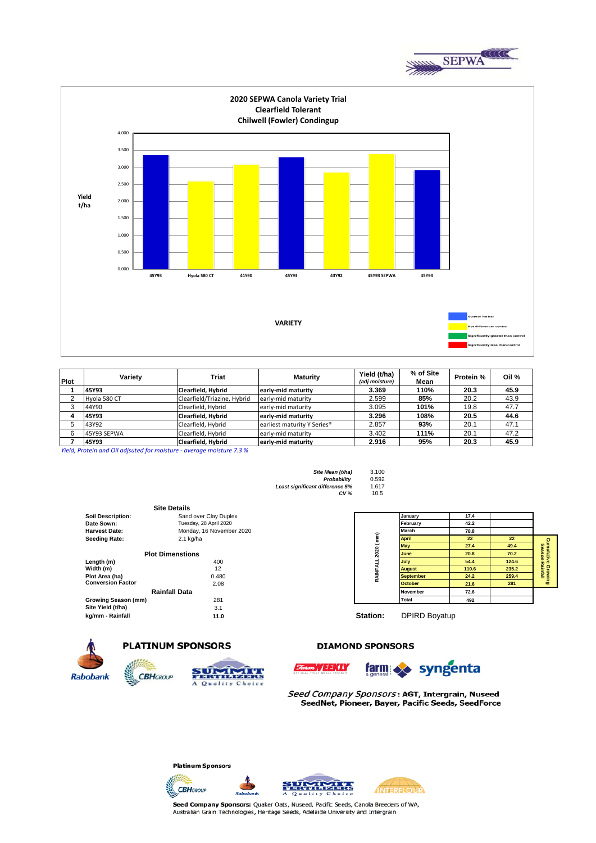



| Plot | Variety      | Triat                       | <b>Maturity</b>             | Yield (t/ha)<br>(adj moisture) | % of Site<br>Mean | Protein % | Oil % |
|------|--------------|-----------------------------|-----------------------------|--------------------------------|-------------------|-----------|-------|
|      | 45Y93        | Clearfield, Hybrid          | early-mid maturity          | 3.369                          | 110%              | 20.3      | 45.9  |
|      | Hyola 580 CT | Clearfield/Triazine, Hybrid | early-mid maturity          | 2.599                          | 85%               | 20.2      | 43.9  |
|      | 44Y90        | Clearfield, Hybrid          | early-mid maturity          | 3.095                          | 101%              | 19.8      | 47.7  |
|      | 45Y93        | Clearfield, Hybrid          | early-mid maturity          | 3.296                          | 108%              | 20.5      | 44.6  |
|      | 43Y92        | Clearfield, Hybrid          | earliest maturity Y Series® | 2.857                          | 93%               | 20.1      | 47.1  |
|      | 45Y93 SEPWA  | Clearfield, Hybrid          | early-mid maturity          | 3.402                          | 111%              | 20.1      | 47.2  |
|      | 45Y93        | Clearfield, Hybrid          | early-mid maturity          | 2.916                          | 95%               | 20.3      | 45.9  |

*Yield, Protein and Oil adjsuted for moisture - average moisture 7.3 %*

**Site Mean (t/ha)** 3.100<br>**Probability** 0.592 *Probability* 0.592

*Least significant difference 5%* 1.617 *CV %* 10.5

|                          | <b>Site Details</b>      |                |                      |       |              |
|--------------------------|--------------------------|----------------|----------------------|-------|--------------|
| <b>Soil Description:</b> | Sand over Clay Duplex    |                | January              | 17.4  |              |
| Date Sown:               | Tuesday, 28 April 2020   |                | February             | 42.2  |              |
| <b>Harvest Date:</b>     | Monday, 16 November 2020 |                | March                | 78.8  |              |
| <b>Seeding Rate:</b>     | $2.1$ kg/ha              | $\binom{m}{k}$ | <b>April</b>         | 22    | 22           |
|                          |                          |                | <b>May</b>           | 27.4  | 49.          |
|                          | <b>Plot Dimenstions</b>  | 2020           | June                 | 20.8  | 70.          |
| Length (m)               | 400                      |                | July                 | 54.4  | 124          |
| Width (m)                | 12                       | RAINFAI        | <b>August</b>        | 110.6 | 235          |
| Plot Area (ha)           | 0.480                    |                | <b>September</b>     | 24.2  | 259          |
| <b>Conversion Factor</b> | 2.08                     |                | <b>October</b>       | 21.6  | $28^{\circ}$ |
|                          | <b>Rainfall Data</b>     |                | <b>November</b>      | 72.6  |              |
| Growing Season (mm)      | 281                      |                | Total                | 492   |              |
| Site Yield (t/ha)        | 3.1                      |                |                      |       |              |
| kg/mm - Rainfall         | 11.0                     | Station:       | <b>DPIRD Boyatup</b> |       |              |

| <b>Soil Description:</b> | Sand over Clay Duplex    |      | January          | 17.4  |       |                       |
|--------------------------|--------------------------|------|------------------|-------|-------|-----------------------|
| Date Sown:               | Tuesday, 28 April 2020   |      | February         | 42.2  |       |                       |
| Harvest Date:            | Monday, 16 November 2020 | ≈    | March            | 78.8  |       |                       |
| Seeding Rate:            | $2.1$ kg/ha              |      | <b>April</b>     | 22    | 22    |                       |
|                          |                          |      | <b>May</b>       | 27.4  | 49.4  | Cum<br>Se             |
|                          | <b>Plot Dimenstions</b>  | 2020 | <b>June</b>      | 20.8  | 70.2  | uiat<br>so            |
| Length (m)               | 400                      |      | July             | 54.4  | 124.6 |                       |
| Width (m)                | 12                       |      | <b>August</b>    | 110.6 | 235.2 | re Growii<br>Rainfall |
| Plot Area (ha)           | 0.480                    | 쥖    | <b>September</b> | 24.2  | 259.4 |                       |
| <b>Conversion Factor</b> | 2.08                     |      | <b>October</b>   | 21.6  | 281   | $\mathbf{c}$          |
|                          | <b>Rainfall Data</b>     |      | <b>November</b>  | 72.6  |       |                       |
| Growing Season (mm)      | 281                      |      | <b>Total</b>     | 492   |       |                       |
| Cita Viald (tha)         | 24                       |      |                  |       |       |                       |



# **PLATINUM SPONSORS**

**CBH**GROUP

## **DIAMOND SPONSORS**

WEEKLY





Seed Company Sponsors: AGT, Intergrain, Nuseed SeedNet, Pioneer, Bayer, Pacific Seeds, SeedForce